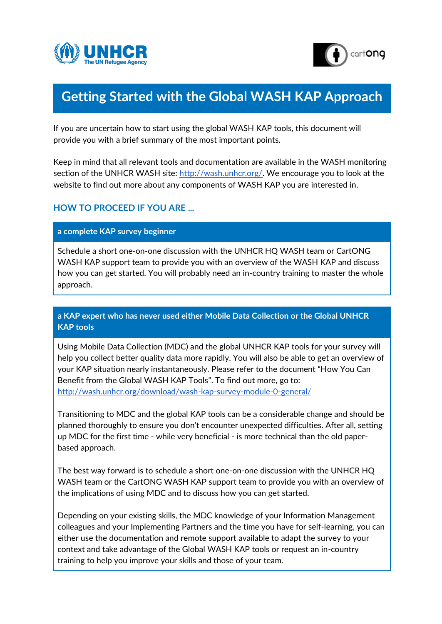



# **Getting Started with the Global WASH KAP Approach**

If you are uncertain how to start using the global WASH KAP tools, this document will provide you with a brief summary of the most important points.

Keep in mind that all relevant tools and documentation are available in the WASH monitoring section of the UNHCR WASH site: [http://wash.unhcr.org/.](http://wash.unhcr.org/) We encourage you to look at the website to find out more about any components of WASH KAP you are interested in.

# **HOW TO PROCEED IF YOU ARE ...**

## **a complete KAP survey beginner**

Schedule a short one-on-one discussion with the UNHCR HQ WASH team or CartONG WASH KAP support team to provide you with an overview of the WASH KAP and discuss how you can get started. You will probably need an in-country training to master the whole approach.

# **a KAP expert who has never used either Mobile Data Collection or the Global UNHCR KAP tools**

Using Mobile Data Collection (MDC) and the global UNHCR KAP tools for your survey will help you collect better quality data more rapidly. You will also be able to get an overview of your KAP situation nearly instantaneously. Please refer to the document "How You Can Benefit from the Global WASH KAP Tools". To find out more, go to: <http://wash.unhcr.org/download/wash-kap-survey-module-0-general/>

Transitioning to MDC and the global KAP tools can be a considerable change and should be planned thoroughly to ensure you don't encounter unexpected difficulties. After all, setting up MDC for the first time - while very beneficial - is more technical than the old paperbased approach.

The best way forward is to schedule a short one-on-one discussion with the UNHCR HQ WASH team or the CartONG WASH KAP support team to provide you with an overview of the implications of using MDC and to discuss how you can get started.

Depending on your existing skills, the MDC knowledge of your Information Management colleagues and your Implementing Partners and the time you have for self-learning, you can either use the documentation and remote support available to adapt the survey to your context and take advantage of the Global WASH KAP tools or request an in-country training to help you improve your skills and those of your team.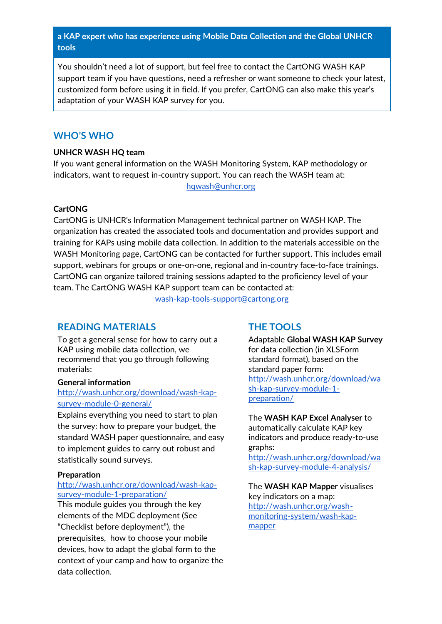# **a KAP expert who has experience using Mobile Data Collection and the Global UNHCR tools**

You shouldn't need a lot of support, but feel free to contact the CartONG WASH KAP support team if you have questions, need a refresher or want someone to check your latest, customized form before using it in field. If you prefer, CartONG can also make this year's adaptation of your WASH KAP survey for you.

# **WHO'S WHO**

## **UNHCR WASH HQ team**

If you want general information on the WASH Monitoring System, KAP methodology or indicators, want to request in-country support. You can reach the WASH team at:

[hqwash@unhcr.org](mailto:hqwash@unhcr.org)

## **CartONG**

CartONG is UNHCR's Information Management technical partner on WASH KAP. The organization has created the associated tools and documentation and provides support and training for KAPs using mobile data collection. In addition to the materials accessible on the WASH Monitoring page, CartONG can be contacted for further support. This includes email support, webinars for groups or one-on-one, regional and in-country face-to-face trainings. CartONG can organize tailored training sessions adapted to the proficiency level of your team. The CartONG WASH KAP support team can be contacted at:

[wash-kap-tools-support@cartong.org](mailto:wash-kap-tools-support@cartong.org)

# **READING MATERIALS**

To get a general sense for how to carry out a KAP using mobile data collection, we recommend that you go through following materials:

## **General information**

## [http://wash.unhcr.org/download/wash-kap](http://wash.unhcr.org/download/wash-kap-survey-module-0-general/)[survey-module-0-general/](http://wash.unhcr.org/download/wash-kap-survey-module-0-general/)

Explains everything you need to start to plan the survey: how to prepare your budget, the standard WASH paper questionnaire, and easy to implement guides to carry out robust and statistically sound surveys.

## **Preparation**

## http://wash.unhcr.org/download/wash-kapsurvey-module-1-preparation/

This module guides you through the key elements of the MDC deployment (See "Checklist before deployment"), the prerequisites, how to choose your mobile devices, how to adapt the global form to the context of your camp and how to organize the data collection.

# **THE TOOLS**

Adaptable **Global WASH KAP Survey**  for data collection (in XLSForm standard format), based on the standard paper form: http://wash.unhcr.org/download/wa sh-kap-survey-module-1 preparation/

### The **WASH KAP Excel Analyser** to automatically calculate KAP key indicators and produce ready-to-use graphs:

[http://wash.unhcr.org/download/wa](http://wash.unhcr.org/download/wash-kap-survey-module-4-analysis/) [sh-kap-survey-module-4-analysis/](http://wash.unhcr.org/download/wash-kap-survey-module-4-analysis/)

## The **WASH KAP Mapper** visualises key indicators on a map: [http://wash.unhcr.org/wash](http://wash.unhcr.org/wash-monitoring-system/wash-kap-mapper)[monitoring-system/wash-kap](http://wash.unhcr.org/wash-monitoring-system/wash-kap-mapper)[mapper](http://wash.unhcr.org/wash-monitoring-system/wash-kap-mapper)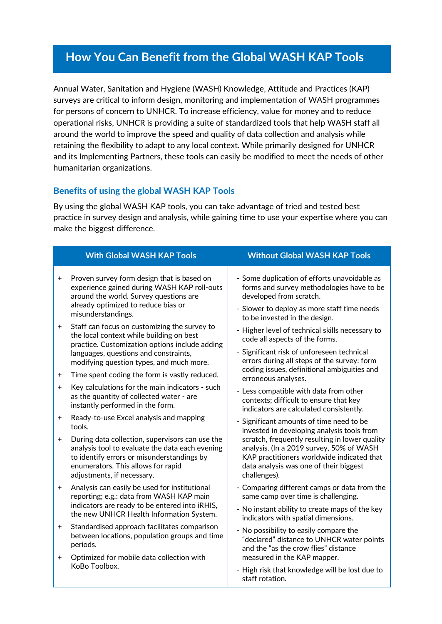# **How You Can Benefit from the Global WASH KAP Tools**

Annual Water, Sanitation and Hygiene (WASH) Knowledge, Attitude and Practices (KAP) surveys are critical to inform design, monitoring and implementation of WASH programmes for persons of concern to UNHCR. To increase efficiency, value for money and to reduce operational risks, UNHCR is providing a suite of standardized tools that help WASH staff all around the world to improve the speed and quality of data collection and analysis while retaining the flexibility to adapt to any local context. While primarily designed for UNHCR and its Implementing Partners, these tools can easily be modified to meet the needs of other humanitarian organizations.

# **Benefits of using the global WASH KAP Tools**

By using the global WASH KAP tools, you can take advantage of tried and tested best practice in survey design and analysis, while gaining time to use your expertise where you can make the biggest difference.

|           | <b>With Global WASH KAP Tools</b>                                                                                                                                                                                               | <b>Without Global WASH KAP Tools</b>                                                                                                                                                                                                                                                                                                                                                   |  |  |  |  |
|-----------|---------------------------------------------------------------------------------------------------------------------------------------------------------------------------------------------------------------------------------|----------------------------------------------------------------------------------------------------------------------------------------------------------------------------------------------------------------------------------------------------------------------------------------------------------------------------------------------------------------------------------------|--|--|--|--|
| $\pm$     | Proven survey form design that is based on<br>experience gained during WASH KAP roll-outs<br>around the world. Survey questions are<br>already optimized to reduce bias or<br>misunderstandings.                                | - Some duplication of efforts unavoidable as<br>forms and survey methodologies have to be<br>developed from scratch.<br>- Slower to deploy as more staff time needs<br>to be invested in the design.<br>- Higher level of technical skills necessary to<br>code all aspects of the forms.<br>- Significant risk of unforeseen technical<br>errors during all steps of the survey: form |  |  |  |  |
| $\ddot{}$ | Staff can focus on customizing the survey to<br>the local context while building on best<br>practice. Customization options include adding<br>languages, questions and constraints,<br>modifying question types, and much more. |                                                                                                                                                                                                                                                                                                                                                                                        |  |  |  |  |
| $^+$      | Time spent coding the form is vastly reduced.                                                                                                                                                                                   | coding issues, definitional ambiguities and<br>erroneous analyses.                                                                                                                                                                                                                                                                                                                     |  |  |  |  |
| $\ddot{}$ | Key calculations for the main indicators - such<br>as the quantity of collected water - are<br>instantly performed in the form.                                                                                                 | - Less compatible with data from other<br>contexts; difficult to ensure that key<br>indicators are calculated consistently.                                                                                                                                                                                                                                                            |  |  |  |  |
| $^+$      | Ready-to-use Excel analysis and mapping<br>tools.                                                                                                                                                                               | - Significant amounts of time need to be<br>invested in developing analysis tools from                                                                                                                                                                                                                                                                                                 |  |  |  |  |
| $+$       | During data collection, supervisors can use the<br>analysis tool to evaluate the data each evening<br>to identify errors or misunderstandings by<br>enumerators. This allows for rapid<br>adjustments, if necessary.            | scratch, frequently resulting in lower quality<br>analysis. (In a 2019 survey, 50% of WASH<br>KAP practitioners worldwide indicated that<br>data analysis was one of their biggest<br>challenges).                                                                                                                                                                                     |  |  |  |  |
| $+$       | Analysis can easily be used for institutional<br>reporting; e.g.: data from WASH KAP main                                                                                                                                       | - Comparing different camps or data from the<br>same camp over time is challenging.                                                                                                                                                                                                                                                                                                    |  |  |  |  |
|           | indicators are ready to be entered into iRHIS,<br>the new UNHCR Health Information System.                                                                                                                                      | - No instant ability to create maps of the key<br>indicators with spatial dimensions.                                                                                                                                                                                                                                                                                                  |  |  |  |  |
| $+$       | Standardised approach facilitates comparison<br>between locations, population groups and time<br>periods.                                                                                                                       | - No possibility to easily compare the<br>"declared" distance to UNHCR water points<br>and the "as the crow flies" distance                                                                                                                                                                                                                                                            |  |  |  |  |
| $\pmb{+}$ | Optimized for mobile data collection with<br>KoBo Toolbox.                                                                                                                                                                      | measured in the KAP mapper.<br>- High risk that knowledge will be lost due to<br>staff rotation.                                                                                                                                                                                                                                                                                       |  |  |  |  |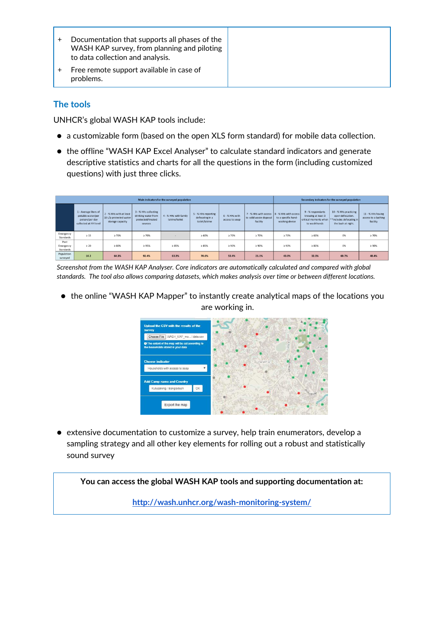|  | Documentation that supports all phases of the<br>WASH KAP survey, from planning and piloting<br>to data collection and analysis. |
|--|----------------------------------------------------------------------------------------------------------------------------------|
|  | Free remote support available in case of<br>problems.                                                                            |

# **The tools**

UNHCR's global WASH KAP tools include:

- a customizable form (based on the open XLS form standard) for mobile data collection.
- the offline "WASH KAP Excel Analyser" to calculate standard indicators and generate descriptive statistics and charts for all the questions in the form (including customized questions) with just three clicks.

| Main indicators for the surveyed population |                                                                                       |                                                                       |                                                                             |                                         |                                                          | Secondary indicators for the surveyed population |                                                                                        |                                       |                                                          |                                                                                                                      |                                                      |
|---------------------------------------------|---------------------------------------------------------------------------------------|-----------------------------------------------------------------------|-----------------------------------------------------------------------------|-----------------------------------------|----------------------------------------------------------|--------------------------------------------------|----------------------------------------------------------------------------------------|---------------------------------------|----------------------------------------------------------|----------------------------------------------------------------------------------------------------------------------|------------------------------------------------------|
|                                             | 1 - Average liters of<br>potable water/per<br>person/per day<br>collected at HH level | 2 - % HHs with at least<br>10 L/p protected water<br>storage capacity | 3 - % HHs collecting<br>drinking water from<br>protected/treated<br>sources | 4 - % HHs with family<br>latrine/toilet | 5 - % HHs reporting<br>defecating in a<br>toilet/latrine | 6 - % HHs with<br>access to soap                 | 7 - % HHs with access   8 - % HHs with access  <br>to solid waste disposal<br>facility | to a specific hand-<br>washing device | 9 - % respondants<br>knowing at least 3<br>to wash hands | 10 - % HHs practicing<br>open defecation.<br>critical moments when  **Includes defecating in  <br>the bush at night. | 11 - % HHs having<br>access to a bathing<br>facility |
| Emergency<br>Standards                      | $\geq 15$                                                                             | $\geq 70%$                                                            | >70%                                                                        | $\sim$                                  | ≥ 60%                                                    | >70%                                             | $\geq 70\%$                                                                            | $\geq 70%$                            | ≥ 60%                                                    | 0%                                                                                                                   | $\geq 70%$                                           |
| Post<br>Emergency<br>Standards              | $\geq 20$                                                                             | > 80%                                                                 | ≥ 95%                                                                       | ≥ 85%                                   | >85%                                                     | ≥ 90%                                            | > 90%                                                                                  | $\geq 90%$                            | $\geq 80\%$                                              | 0%                                                                                                                   | $\geq 90\%$                                          |
| Population<br>surveyed                      | 14.2                                                                                  | 64.3%                                                                 | 92.4%                                                                       | 63.3%                                   | 70.6%                                                    | 53.4%                                            | 21.1%                                                                                  | 43.0%                                 | 32.3%                                                    | 60.7%                                                                                                                | 48.4%                                                |

*Screenshot from the WASH KAP Analyser. Core indicators are automatically calculated and compared with global standards. The tool also allows comparing datasets, which makes analysis over time or between different locations.*

● the online "WASH KAP Mapper" to instantly create analytical maps of the locations you are working in.



● extensive documentation to customize a survey, help train enumerators, develop a sampling strategy and all other key elements for rolling out a robust and statistically sound survey

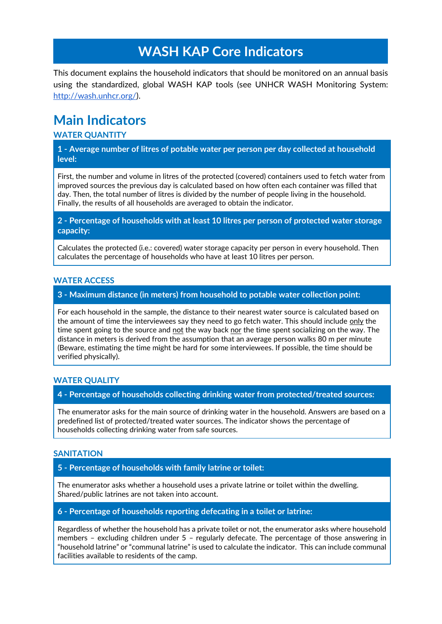# **WASH KAP Core Indicators**

This document explains the household indicators that should be monitored on an annual basis using the standardized, global WASH KAP tools (see UNHCR WASH Monitoring System: [http://wash.unhcr.org/\)](http://wash.unhcr.org/wash-monitoring-system/wash-kap-survey-modules/).

# **Main Indicators**

## **WATER QUANTITY**

**1 - Average number of litres of potable water per person per day collected at household level:**

First, the number and volume in litres of the protected (covered) containers used to fetch water from improved sources the previous day is calculated based on how often each container was filled that day. Then, the total number of litres is divided by the number of people living in the household. Finally, the results of all households are averaged to obtain the indicator.

**2 - Percentage of households with at least 10 litres per person of protected water storage capacity:**

Calculates the protected (i.e.: covered) water storage capacity per person in every household. Then calculates the percentage of households who have at least 10 litres per person.

### **WATER ACCESS**

**3 - Maximum distance (in meters) from household to potable water collection point:**

For each household in the sample, the distance to their nearest water source is calculated based on the amount of time the interviewees say they need to go fetch water. This should include only the time spent going to the source and not the way back nor the time spent socializing on the way. The distance in meters is derived from the assumption that an average person walks 80 m per minute (Beware, estimating the time might be hard for some interviewees. If possible, the time should be verified physically).

## **WATER QUALITY**

**4 - Percentage of households collecting drinking water from protected/treated sources:**

The enumerator asks for the main source of drinking water in the household. Answers are based on a predefined list of protected/treated water sources. The indicator shows the percentage of households collecting drinking water from safe sources.

## **SANITATION**

**5 - Percentage of households with family latrine or toilet:**

The enumerator asks whether a household uses a private latrine or toilet within the dwelling. Shared/public latrines are not taken into account.

**6 - Percentage of households reporting defecating in a toilet or latrine:**

Regardless of whether the household has a private toilet or not, the enumerator asks where household members – excluding children under 5 – regularly defecate. The percentage of those answering in "household latrine" or "communal latrine" is used to calculate the indicator. This can include communal facilities available to residents of the camp.